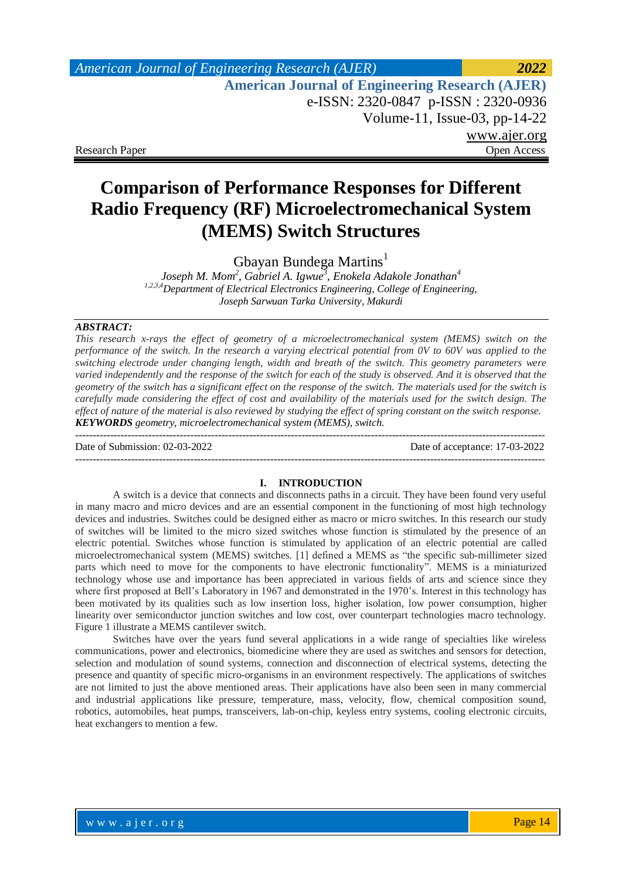## *American Journal of Engineering Research (AJER) 2022*  **American Journal of Engineering Research (AJER)** e-ISSN: 2320-0847 p-ISSN : 2320-0936 Volume-11, Issue-03, pp-14-22 www.ajer.org Research Paper **Open Access** Open Access **Open Access**

# **Comparison of Performance Responses for Different Radio Frequency (RF) Microelectromechanical System (MEMS) Switch Structures**

Gbayan Bundega Martins<sup>1</sup>

*Joseph M. Mom<sup>2</sup> , Gabriel A. Igwue<sup>3</sup> , Enokela Adakole Jonathan<sup>4</sup> 1,2,3,4Department of Electrical Electronics Engineering, College of Engineering, Joseph Sarwuan Tarka University, Makurdi*

#### *ABSTRACT:*

*This research x-rays the effect of geometry of a microelectromechanical system (MEMS) switch on the performance of the switch. In the research a varying electrical potential from 0V to 60V was applied to the switching electrode under changing length, width and breath of the switch. This geometry parameters were varied independently and the response of the switch for each of the study is observed. And it is observed that the geometry of the switch has a significant effect on the response of the switch. The materials used for the switch is carefully made considering the effect of cost and availability of the materials used for the switch design. The effect of nature of the material is also reviewed by studying the effect of spring constant on the switch response. KEYWORDS geometry, microelectromechanical system (MEMS), switch.*

Date of Submission: 02-03-2022 Date of acceptance: 17-03-2022

---------------------------------------------------------------------------------------------------------------------------------------

---------------------------------------------------------------------------------------------------------------------------------------

#### **I. INTRODUCTION**

A switch is a device that connects and disconnects paths in a circuit. They have been found very useful in many macro and micro devices and are an essential component in the functioning of most high technology devices and industries. Switches could be designed either as macro or micro switches. In this research our study of switches will be limited to the micro sized switches whose function is stimulated by the presence of an electric potential. Switches whose function is stimulated by application of an electric potential are called microelectromechanical system (MEMS) switches. [1] defined a MEMS as "the specific sub-millimeter sized parts which need to move for the components to have electronic functionality". MEMS is a miniaturized technology whose use and importance has been appreciated in various fields of arts and science since they where first proposed at Bell's Laboratory in 1967 and demonstrated in the 1970's. Interest in this technology has been motivated by its qualities such as low insertion loss, higher isolation, low power consumption, higher linearity over semiconductor junction switches and low cost, over counterpart technologies macro technology. [Figure 1](#page-1-0) illustrate a MEMS cantilever switch.

Switches have over the years fund several applications in a wide range of specialties like wireless communications, power and electronics, biomedicine where they are used as switches and sensors for detection, selection and modulation of sound systems, connection and disconnection of electrical systems, detecting the presence and quantity of specific micro-organisms in an environment respectively. The applications of switches are not limited to just the above mentioned areas. Their applications have also been seen in many commercial and industrial applications like pressure, temperature, mass, velocity, flow, chemical composition sound, robotics, automobiles, heat pumps, transceivers, lab-on-chip, keyless entry systems, cooling electronic circuits, heat exchangers to mention a few.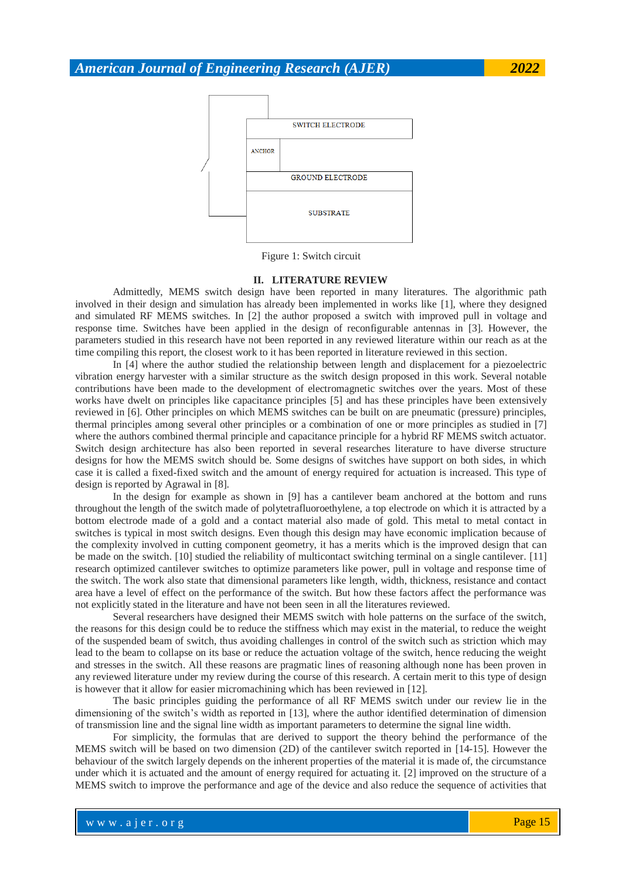

Figure 1: Switch circuit

#### **II. LITERATURE REVIEW**

<span id="page-1-0"></span>Admittedly, MEMS switch design have been reported in many literatures. The algorithmic path involved in their design and simulation has already been implemented in works like [1], where they designed and simulated RF MEMS switches. In [2] the author proposed a switch with improved pull in voltage and response time. Switches have been applied in the design of reconfigurable antennas in [3]. However, the parameters studied in this research have not been reported in any reviewed literature within our reach as at the time compiling this report, the closest work to it has been reported in literature reviewed in this section.

In [4] where the author studied the relationship between length and displacement for a piezoelectric vibration energy harvester with a similar structure as the switch design proposed in this work. Several notable contributions have been made to the development of electromagnetic switches over the years. Most of these works have dwelt on principles like capacitance principles [5] and has these principles have been extensively reviewed in [6]. Other principles on which MEMS switches can be built on are pneumatic (pressure) principles, thermal principles among several other principles or a combination of one or more principles as studied in [7] where the authors combined thermal principle and capacitance principle for a hybrid RF MEMS switch actuator. Switch design architecture has also been reported in several researches literature to have diverse structure designs for how the MEMS switch should be. Some designs of switches have support on both sides, in which case it is called a fixed-fixed switch and the amount of energy required for actuation is increased. This type of design is reported by Agrawal in [8].

In the design for example as shown in [9] has a cantilever beam anchored at the bottom and runs throughout the length of the switch made of polytetrafluoroethylene, a top electrode on which it is attracted by a bottom electrode made of a gold and a contact material also made of gold. This metal to metal contact in switches is typical in most switch designs. Even though this design may have economic implication because of the complexity involved in cutting component geometry, it has a merits which is the improved design that can be made on the switch. [10] studied the reliability of multicontact switching terminal on a single cantilever. [11] research optimized cantilever switches to optimize parameters like power, pull in voltage and response time of the switch. The work also state that dimensional parameters like length, width, thickness, resistance and contact area have a level of effect on the performance of the switch. But how these factors affect the performance was not explicitly stated in the literature and have not been seen in all the literatures reviewed.

Several researchers have designed their MEMS switch with hole patterns on the surface of the switch, the reasons for this design could be to reduce the stiffness which may exist in the material, to reduce the weight of the suspended beam of switch, thus avoiding challenges in control of the switch such as striction which may lead to the beam to collapse on its base or reduce the actuation voltage of the switch, hence reducing the weight and stresses in the switch. All these reasons are pragmatic lines of reasoning although none has been proven in any reviewed literature under my review during the course of this research. A certain merit to this type of design is however that it allow for easier micromachining which has been reviewed in [12].

The basic principles guiding the performance of all RF MEMS switch under our review lie in the dimensioning of the switch's width as reported in [13], where the author identified determination of dimension of transmission line and the signal line width as important parameters to determine the signal line width.

For simplicity, the formulas that are derived to support the theory behind the performance of the MEMS switch will be based on two dimension (2D) of the cantilever switch reported in [14-15]. However the behaviour of the switch largely depends on the inherent properties of the material it is made of, the circumstance under which it is actuated and the amount of energy required for actuating it. [2] improved on the structure of a MEMS switch to improve the performance and age of the device and also reduce the sequence of activities that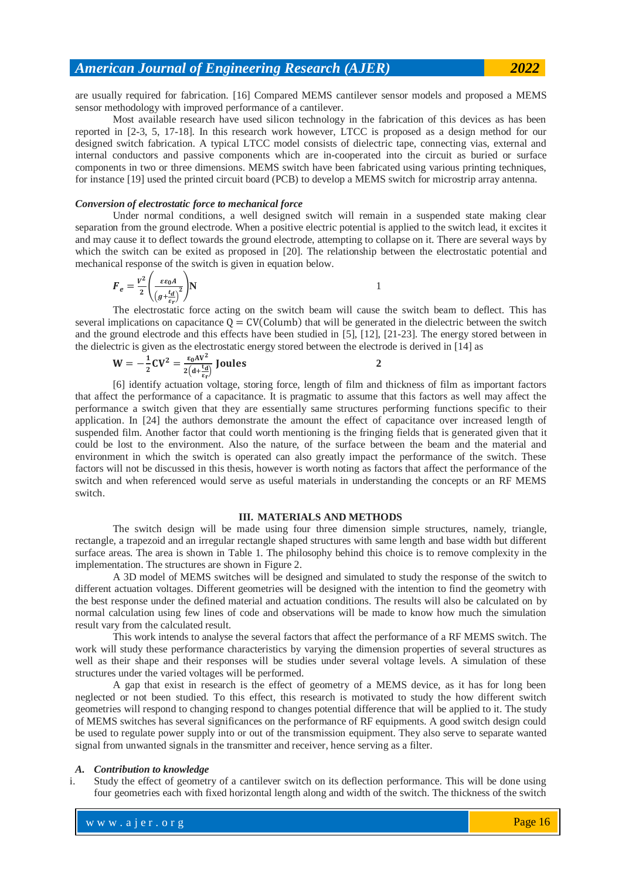are usually required for fabrication. [16] Compared MEMS cantilever sensor models and proposed a MEMS sensor methodology with improved performance of a cantilever.

Most available research have used silicon technology in the fabrication of this devices as has been reported in [2-3, 5, 17-18]. In this research work however, LTCC is proposed as a design method for our designed switch fabrication. A typical LTCC model consists of dielectric tape, connecting vias, external and internal conductors and passive components which are in-cooperated into the circuit as buried or surface components in two or three dimensions. MEMS switch have been fabricated using various printing techniques, for instance [19] used the printed circuit board (PCB) to develop a MEMS switch for microstrip array antenna.

#### *Conversion of electrostatic force to mechanical force*

Under normal conditions, a well designed switch will remain in a suspended state making clear separation from the ground electrode. When a positive electric potential is applied to the switch lead, it excites it and may cause it to deflect towards the ground electrode, attempting to collapse on it. There are several ways by which the switch can be exited as proposed in [20]. The relationship between the electrostatic potential and mechanical response of the switch is given in equation below.

$$
F_e = \frac{v^2}{2} \left( \frac{\varepsilon \varepsilon_0 A}{\left(g + \frac{t_d}{\varepsilon_r}\right)^2} \right) N
$$

The electrostatic force acting on the switch beam will cause the switch beam to deflect. This has several implications on capacitance  $Q = CV(Colum)$  that will be generated in the dielectric between the switch and the ground electrode and this effects have been studied in [5], [12], [21-23]. The energy stored between in the dielectric is given as the electrostatic energy stored between the electrode is derived in [14] as

$$
W = -\frac{1}{2}CV^2 = \frac{\varepsilon_0 AV^2}{2(d + \frac{t_d}{\varepsilon_r})} \text{ Joules}
$$

[6] identify actuation voltage, storing force, length of film and thickness of film as important factors that affect the performance of a capacitance. It is pragmatic to assume that this factors as well may affect the performance a switch given that they are essentially same structures performing functions specific to their application. In [24] the authors demonstrate the amount the effect of capacitance over increased length of suspended film. Another factor that could worth mentioning is the fringing fields that is generated given that it could be lost to the environment. Also the nature, of the surface between the beam and the material and environment in which the switch is operated can also greatly impact the performance of the switch. These factors will not be discussed in this thesis, however is worth noting as factors that affect the performance of the switch and when referenced would serve as useful materials in understanding the concepts or an RF MEMS switch.

#### **III. MATERIALS AND METHODS**

The switch design will be made using four three dimension simple structures, namely, triangle, rectangle, a trapezoid and an irregular rectangle shaped structures with same length and base width but different surface areas. The area is shown in [Table 1.](#page-3-0) The philosophy behind this choice is to remove complexity in the implementation. The structures are shown in Figure 2.

A 3D model of MEMS switches will be designed and simulated to study the response of the switch to different actuation voltages. Different geometries will be designed with the intention to find the geometry with the best response under the defined material and actuation conditions. The results will also be calculated on by normal calculation using few lines of code and observations will be made to know how much the simulation result vary from the calculated result.

This work intends to analyse the several factors that affect the performance of a RF MEMS switch. The work will study these performance characteristics by varying the dimension properties of several structures as well as their shape and their responses will be studies under several voltage levels. A simulation of these structures under the varied voltages will be performed.

A gap that exist in research is the effect of geometry of a MEMS device, as it has for long been neglected or not been studied. To this effect, this research is motivated to study the how different switch geometries will respond to changing respond to changes potential difference that will be applied to it. The study of MEMS switches has several significances on the performance of RF equipments. A good switch design could be used to regulate power supply into or out of the transmission equipment. They also serve to separate wanted signal from unwanted signals in the transmitter and receiver, hence serving as a filter.

#### *A. Contribution to knowledge*

i. Study the effect of geometry of a cantilever switch on its deflection performance. This will be done using four geometries each with fixed horizontal length along and width of the switch. The thickness of the switch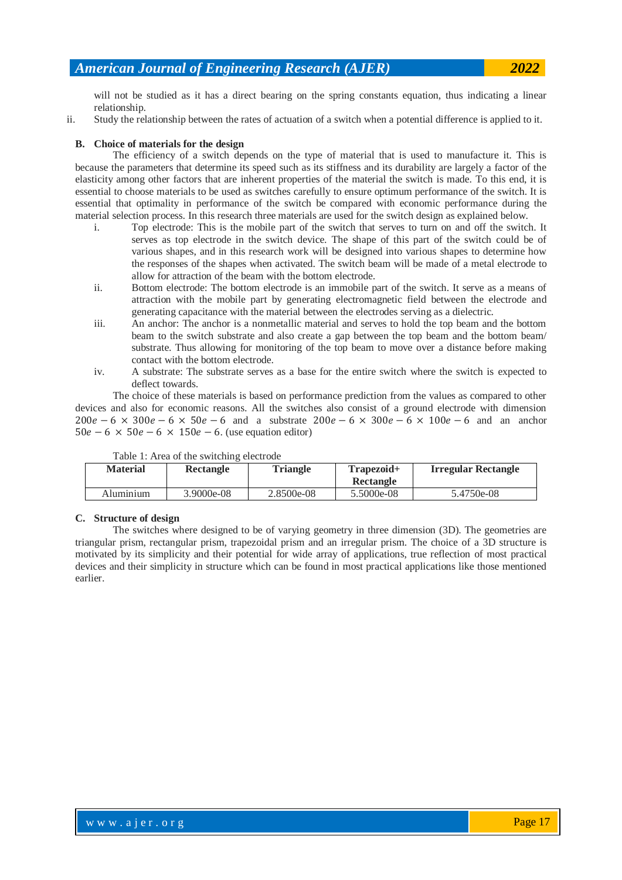will not be studied as it has a direct bearing on the spring constants equation, thus indicating a linear relationship.

ii. Study the relationship between the rates of actuation of a switch when a potential difference is applied to it.

#### **B. Choice of materials for the design**

The efficiency of a switch depends on the type of material that is used to manufacture it. This is because the parameters that determine its speed such as its stiffness and its durability are largely a factor of the elasticity among other factors that are inherent properties of the material the switch is made. To this end, it is essential to choose materials to be used as switches carefully to ensure optimum performance of the switch. It is essential that optimality in performance of the switch be compared with economic performance during the material selection process. In this research three materials are used for the switch design as explained below.

- i. Top electrode: This is the mobile part of the switch that serves to turn on and off the switch. It serves as top electrode in the switch device. The shape of this part of the switch could be of various shapes, and in this research work will be designed into various shapes to determine how the responses of the shapes when activated. The switch beam will be made of a metal electrode to allow for attraction of the beam with the bottom electrode.
- ii. Bottom electrode: The bottom electrode is an immobile part of the switch. It serve as a means of attraction with the mobile part by generating electromagnetic field between the electrode and generating capacitance with the material between the electrodes serving as a dielectric.
- iii. An anchor: The anchor is a nonmetallic material and serves to hold the top beam and the bottom beam to the switch substrate and also create a gap between the top beam and the bottom beam/ substrate. Thus allowing for monitoring of the top beam to move over a distance before making contact with the bottom electrode.
- iv. A substrate: The substrate serves as a base for the entire switch where the switch is expected to deflect towards.

The choice of these materials is based on performance prediction from the values as compared to other devices and also for economic reasons. All the switches also consist of a ground electrode with dimension  $200e-6 \times 300e-6 \times 50e-6$  and a substrate  $200e-6 \times 300e-6 \times 100e-6$  and an anchor  $50e - 6 \times 50e - 6 \times 150e - 6$ . (use equation editor)

<span id="page-3-0"></span>

| <b>Material</b> | <b>Rectangle</b> | <b>Triangle</b> | Trapezoid+<br>Rectangle | Irregular Rectangle |
|-----------------|------------------|-----------------|-------------------------|---------------------|
| Aluminium       | 3.9000e-08       | 2.8500e-08      | 5.5000e-08              | 5.4750e-08          |

Table 1: Area of the switching electrode

#### **C. Structure of design**

The switches where designed to be of varying geometry in three dimension (3D). The geometries are triangular prism, rectangular prism, trapezoidal prism and an irregular prism. The choice of a 3D structure is motivated by its simplicity and their potential for wide array of applications, true reflection of most practical devices and their simplicity in structure which can be found in most practical applications like those mentioned earlier.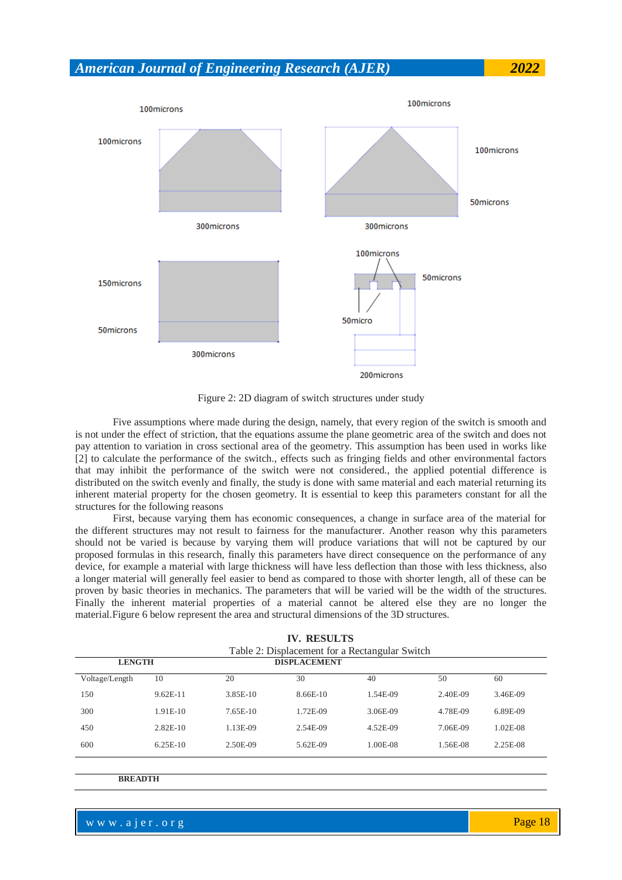

Figure 2: 2D diagram of switch structures under study

Five assumptions where made during the design, namely, that every region of the switch is smooth and is not under the effect of striction, that the equations assume the plane geometric area of the switch and does not pay attention to variation in cross sectional area of the geometry. This assumption has been used in works like [2] to calculate the performance of the switch., effects such as fringing fields and other environmental factors that may inhibit the performance of the switch were not considered., the applied potential difference is distributed on the switch evenly and finally, the study is done with same material and each material returning its inherent material property for the chosen geometry. It is essential to keep this parameters constant for all the structures for the following reasons

First, because varying them has economic consequences, a change in surface area of the material for the different structures may not result to fairness for the manufacturer. Another reason why this parameters should not be varied is because by varying them will produce variations that will not be captured by our proposed formulas in this research, finally this parameters have direct consequence on the performance of any device, for example a material with large thickness will have less deflection than those with less thickness, also a longer material will generally feel easier to bend as compared to those with shorter length, all of these can be proven by basic theories in mechanics. The parameters that will be varied will be the width of the structures. Finally the inherent material properties of a material cannot be altered else they are no longer the material.Figure 6 below represent the area and structural dimensions of the 3D structures.

|                |            |          | IV. RESULIS         |                                                |          |          |  |
|----------------|------------|----------|---------------------|------------------------------------------------|----------|----------|--|
|                |            |          |                     | Table 2: Displacement for a Rectangular Switch |          |          |  |
| <b>LENGTH</b>  |            |          | <b>DISPLACEMENT</b> |                                                |          |          |  |
| Voltage/Length | 10         | 20       | 30                  | 40                                             | 50       | 60       |  |
| 150            | $9.62E-11$ | 3.85E-10 | 8.66E-10            | 1.54E-09                                       | 2.40E-09 | 3.46E-09 |  |
| 300            | $1.91E-10$ | 7.65E-10 | 1.72E-09            | 3.06E-09                                       | 4.78E-09 | 6.89E-09 |  |
| 450            | $2.82E-10$ | 1.13E-09 | 2.54E-09            | 4.52E-09                                       | 7.06E-09 | 1.02E-08 |  |
| 600            | $6.25E-10$ | 2.50E-09 | 5.62E-09            | 1.00E-08                                       | 1.56E-08 | 2.25E-08 |  |
|                |            |          |                     |                                                |          |          |  |

**IV. RESULTS** 

**BREADTH**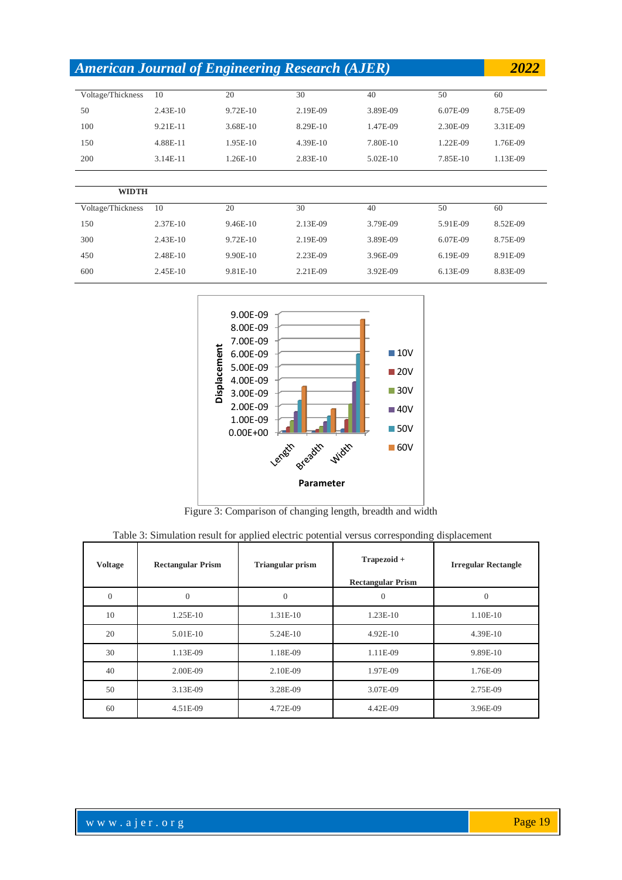| <b>American Journal of Engineering Research (AJER)</b> |            |          |            |            |          | 2022     |
|--------------------------------------------------------|------------|----------|------------|------------|----------|----------|
| Voltage/Thickness                                      | 10         | 20       | 30         | 40         | 50       | 60       |
| 50                                                     | $2.43E-10$ | 9.72E-10 | 2.19E-09   | 3.89E-09   | 6.07E-09 | 8.75E-09 |
| 100                                                    | 9.21E-11   | 3.68E-10 | 8.29E-10   | 1.47E-09   | 2.30E-09 | 3.31E-09 |
| 150                                                    | 4.88E-11   | 1.95E-10 | $4.39E-10$ | 7.80E-10   | 1.22E-09 | 1.76E-09 |
| 200                                                    | 3.14E-11   | 1.26E-10 | 2.83E-10   | $5.02E-10$ | 7.85E-10 | 1.13E-09 |
|                                                        |            |          |            |            |          |          |

| WIDTH             |            |            |          |          |          |          |
|-------------------|------------|------------|----------|----------|----------|----------|
| Voltage/Thickness | 10         | 20         | 30       | 40       | 50       | 60       |
| 150               | 2.37E-10   | $9.46E-10$ | 2.13E-09 | 3.79E-09 | 5.91E-09 | 8.52E-09 |
| 300               | $2.43E-10$ | $9.72E-10$ | 2.19E-09 | 3.89E-09 | 6.07E-09 | 8.75E-09 |
| 450               | 2.48E-10   | $9.90E-10$ | 2.23E-09 | 3.96E-09 | 6.19E-09 | 8.91E-09 |
| 600               | $2.45E-10$ | 9.81E-10   | 2.21E-09 | 3.92E-09 | 6.13E-09 | 8.83E-09 |



Figure 3: Comparison of changing length, breadth and width

| Table 3: Simulation result for applied electric potential versus corresponding displacement |  |  |  |  |
|---------------------------------------------------------------------------------------------|--|--|--|--|
|---------------------------------------------------------------------------------------------|--|--|--|--|

| <b>Voltage</b> | <b>Rectangular Prism</b> | <b>Triangular prism</b> | Trapezoid +<br><b>Rectangular Prism</b> | <b>Irregular Rectangle</b> |
|----------------|--------------------------|-------------------------|-----------------------------------------|----------------------------|
| $\overline{0}$ | $\theta$                 | $\Omega$                | $\theta$                                | $\theta$                   |
| 10             | 1.25E-10                 | 1.31E-10                | 1.23E-10                                | 1.10E-10                   |
| 20             | 5.01E-10                 | 5.24E-10                | 4.92E-10                                | 4.39E-10                   |
| 30             | 1.13E-09                 | 1.18E-09                | 1.11E-09                                | 9.89E-10                   |
| 40             | 2.00E-09                 | 2.10E-09                | 1.97E-09                                | 1.76E-09                   |
| 50             | 3.13E-09                 | 3.28E-09                | 3.07E-09                                | 2.75E-09                   |
| 60             | 4.51E-09                 | 4.72E-09                | 4.42E-09                                | 3.96E-09                   |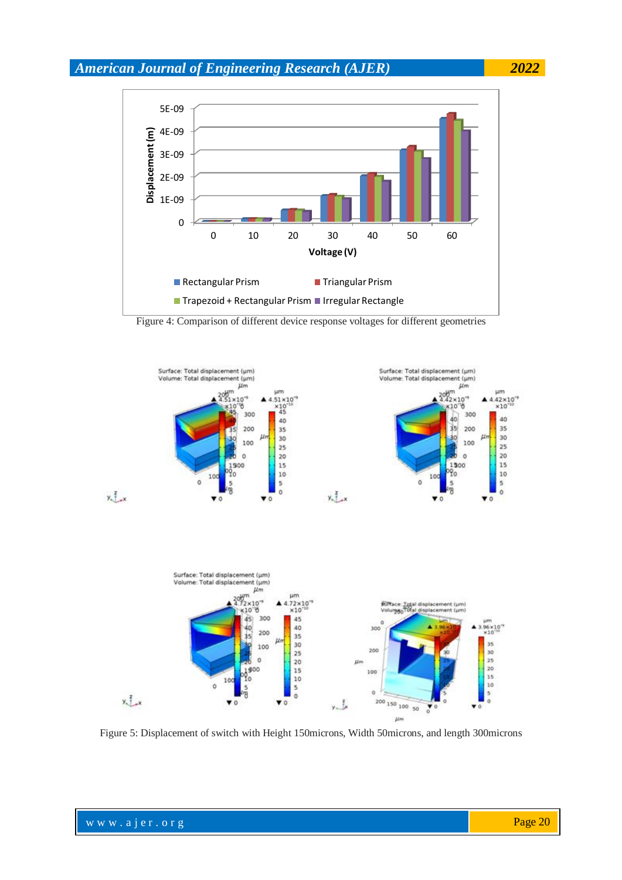

Figure 4: Comparison of different device response voltages for different geometries



Figure 5: Displacement of switch with Height 150microns, Width 50microns, and length 300microns

 $\mu$ m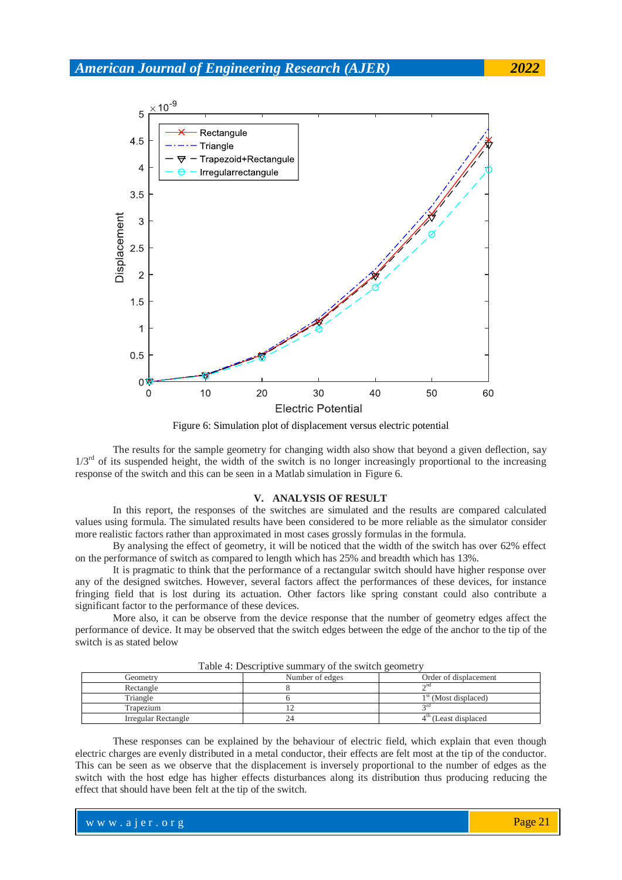

Figure 6: Simulation plot of displacement versus electric potential

The results for the sample geometry for changing width also show that beyond a given deflection, say  $1/3<sup>rd</sup>$  of its suspended height, the width of the switch is no longer increasingly proportional to the increasing response of the switch and this can be seen in a Matlab simulation in Figure 6.

#### **V. ANALYSIS OF RESULT**

In this report, the responses of the switches are simulated and the results are compared calculated values using formula. The simulated results have been considered to be more reliable as the simulator consider more realistic factors rather than approximated in most cases grossly formulas in the formula.

By analysing the effect of geometry, it will be noticed that the width of the switch has over 62% effect on the performance of switch as compared to length which has 25% and breadth which has 13%.

It is pragmatic to think that the performance of a rectangular switch should have higher response over any of the designed switches. However, several factors affect the performances of these devices, for instance fringing field that is lost during its actuation. Other factors like spring constant could also contribute a significant factor to the performance of these devices.

More also, it can be observe from the device response that the number of geometry edges affect the performance of device. It may be observed that the switch edges between the edge of the anchor to the tip of the switch is as stated below

| Tuble 1. Descriptive summary of the switch geometry |                 |                                   |  |  |  |
|-----------------------------------------------------|-----------------|-----------------------------------|--|--|--|
| Geometry                                            | Number of edges | Order of displacement             |  |  |  |
| Rectangle                                           |                 | $\sim$ nd                         |  |  |  |
| Triangle                                            |                 | 1 <sup>st</sup> (Most displaced)  |  |  |  |
| Trapezium                                           |                 | $\gamma$ rd                       |  |  |  |
| Irregular Rectangle                                 |                 | 4 <sup>th</sup> (Least displaced) |  |  |  |

Table  $4$ <sup>.</sup> Descriptive summary of the switch geometry

These responses can be explained by the behaviour of electric field, which explain that even though electric charges are evenly distributed in a metal conductor, their effects are felt most at the tip of the conductor. This can be seen as we observe that the displacement is inversely proportional to the number of edges as the switch with the host edge has higher effects disturbances along its distribution thus producing reducing the effect that should have been felt at the tip of the switch.